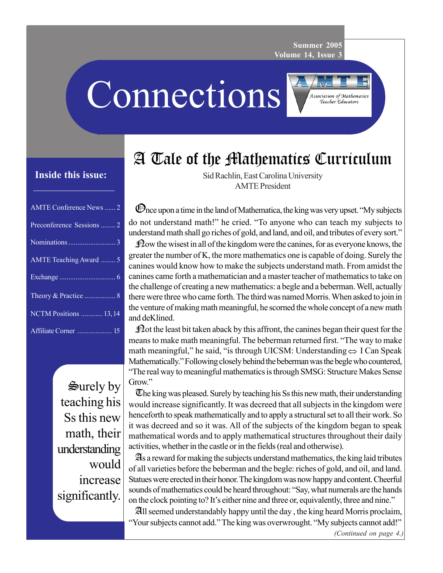**Summer 2005 Volume 14, Issue 3**

> **Association of Mathematics** Teacher Educators

**Connections** 



# **Inside this issue:**

| <b>AMTE Conference News</b> 2 |
|-------------------------------|
| Preconference Sessions  2     |
|                               |
| AMTE Teaching Award  5        |
|                               |
|                               |
| <b>NCTM Positions  13, 14</b> |
| Affiliate Corner  15          |

 $\mathbf{S}$ urely by teaching his Ss this new math, their understanding would increase significantly.

Sid Rachlin, East Carolina University AMTE President

Once upon a time in the land of Mathematica, the king was very upset. "My subjects do not understand math!" he cried. "To anyone who can teach my subjects to understand math shall go riches of gold, and land, and oil, and tributes of every sort."

 $\mathbb{R}^2$  ow the wisest in all of the kingdom were the canines, for as everyone knows, the greater the number of K, the more mathematics one is capable of doing. Surely the canines would know how to make the subjects understand math. From amidst the canines came forth a mathematician and a master teacher of mathematics to take on the challenge of creating a new mathematics: a begle and a beberman. Well, actually there were three who came forth. The third was named Morris. When asked to join in the venture of making math meaningful, he scorned the whole concept of a new math and deKlined.

 $\mathcal{D}$  at the least bit taken aback by this affront, the canines began their quest for the means to make math meaningful. The beberman returned first. "The way to make math meaningful," he said, "is through UICSM: Understanding⇔ I Can Speak Mathematically." Following closely behind the beberman was the begle who countered, "The real way to meaningful mathematics is through SMSG: Structure Makes Sense Grow."

The king was pleased. Surely by teaching his Ss this new math, their understanding would increase significantly. It was decreed that all subjects in the kingdom were henceforth to speak mathematically and to apply a structural set to all their work. So it was decreed and so it was. All of the subjects of the kingdom began to speak mathematical words and to apply mathematical structures throughout their daily activities, whether in the castle or in the fields (real and otherwise).

As a reward for making the subjects understand mathematics, the king laid tributes of all varieties before the beberman and the begle: riches of gold, and oil, and land. Statues were erected in their honor. The kingdom was now happy and content. Cheerful sounds of mathematics could be heard throughout: "Say, what numerals are the hands on the clock pointing to? It's either nine and three or, equivalently, three and nine."

All seemed understandably happy until the day , the king heard Morris proclaim, "Your subjects cannot add." The king was overwrought. "My subjects cannot add!"

*(Continued on page 4.)*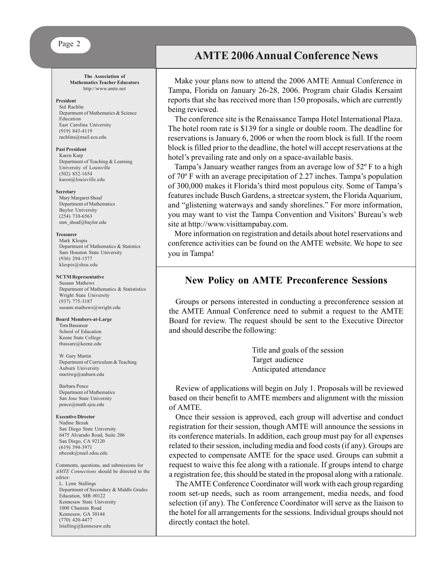**The Association of Mathematics Teacher Educators** http://www.amte.net

#### **President**

Sid Rachlin Department of Mathematics & Science Education East Carolina University (919) 843-4119 rachlins@mail.ecu.edu

#### **Past President**

Karen Karp Department of Teaching & Learning University of Louisville (502) 852-1654 karen@louisville.edu

#### **Secretary**

Mary Margaret Shoaf Department of Mathematics Baylor University (254) 710-6563 mm\_shoaf@baylor.edu

#### **Treasurer**

Mark Klespis Department of Mathematics & Statistics Sam Houston State University (936) 294-1577 klespis@shsu.edu

#### **NCTM Representative**

Susann Mathews Department of Mathematics & Statististics Wright State University (937) 775-3187 susann.mathews@wright.edu

#### **Board Members-at-Large**

Tom Bassarear School of Education Keene State College tbassare@keene.edu

W. Gary Martin Department of Curriculum & Teaching Auburn University martiwg@auburn.edu

Barbara Pence Department of Mathematics San Jose State University pence@math.sjsu.edu

#### **Executive Director**

(770) 420-4477 lstalling@kennesaw.edu

Nadine Bezuk San Diego State University 6475 Alvarado Road, Suite 206 San Diego, CA 92120 (619) 594-3971 nbezuk@mail.sdsu.edu

Comments, questions, and submissions for *AMTE Connections* should be directed to the editor: L. Lynn Stallings Department of Secondary & Middle Grades Education, MB #0122 Kennesaw State University 1000 Chastain Road Kennesaw, GA 30144

**AMTE 2006 Annual Conference News**

Make your plans now to attend the 2006 AMTE Annual Conference in Tampa, Florida on January 26-28, 2006. Program chair Gladis Kersaint reports that she has received more than 150 proposals, which are currently being reviewed.

The conference site is the Renaissance Tampa Hotel International Plaza. The hotel room rate is \$139 for a single or double room. The deadline for reservations is January 6, 2006 or when the room block is full. If the room block is filled prior to the deadline, the hotel will accept reservations at the hotel's prevailing rate and only on a space-available basis.

Tampa's January weather ranges from an average low of 52º F to a high of 70º F with an average precipitation of 2.27 inches. Tampa's population of 300,000 makes it Florida's third most populous city. Some of Tampa's features include Busch Gardens, a streetcar system, the Florida Aquarium, and "glistening waterways and sandy shorelines." For more information, you may want to vist the Tampa Convention and Visitors' Bureau's web site at http://www.visittampabay.com.

More information on registration and details about hotel reservations and conference activities can be found on the AMTE website. We hope to see you in Tampa!

# **New Policy on AMTE Preconference Sessions**

Groups or persons interested in conducting a preconference session at the AMTE Annual Conference need to submit a request to the AMTE Board for review. The request should be sent to the Executive Director and should describe the following:

> Title and goals of the session Target audience Anticipated attendance

Review of applications will begin on July 1. Proposals will be reviewed based on their benefit to AMTE members and alignment with the mission of AMTE.

Once their session is approved, each group will advertise and conduct registration for their session, though AMTE will announce the sessions in its conference materials. In addition, each group must pay for all expenses related to their session, including media and food costs (if any). Groups are expected to compensate AMTE for the space used. Groups can submit a request to waive this fee along with a rationale. If groups intend to charge a registration fee, this should be stated in the proposal along with a rationale.

The AMTE Conference Coordinator will work with each group regarding room set-up needs, such as room arrangement, media needs, and food selection (if any). The Conference Coordinator will serve as the liaison to the hotel for all arrangements for the sessions. Individual groups should not directly contact the hotel.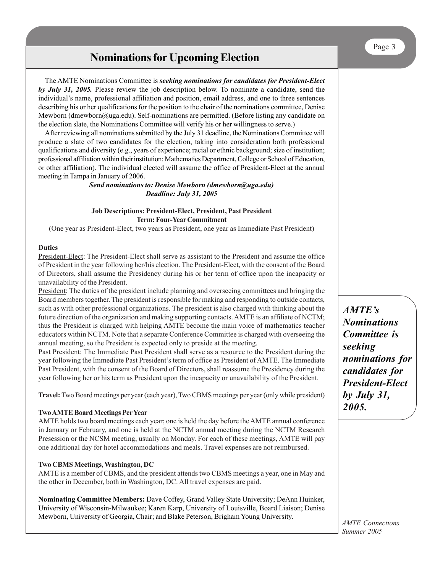# **Nominations for Upcoming Election**

The AMTE Nominations Committee is *seeking nominations for candidates for President-Elect by July 31, 2005.* Please review the job description below. To nominate a candidate, send the individual's name, professional affiliation and position, email address, and one to three sentences describing his or her qualifications for the position to the chair of the nominations committee, Denise Mewborn (dmewborn@uga.edu). Self-nominations are permitted. (Before listing any candidate on the election slate, the Nominations Committee will verify his or her willingness to serve.)

After reviewing all nominations submitted by the July 31 deadline, the Nominations Committee will produce a slate of two candidates for the election, taking into consideration both professional qualifications and diversity (e.g., years of experience; racial or ethnic background; size of institution; professional affiliation within their institution: Mathematics Department, College or School of Education, or other affiliation). The individual elected will assume the office of President-Elect at the annual meeting in Tampa in January of 2006.

> *Send nominations to: Denise Mewborn (dmewborn@uga.edu) Deadline: July 31, 2005*

### **Job Descriptions: President-Elect, President, Past President Term: Four-Year Commitment**

(One year as President-Elect, two years as President, one year as Immediate Past President)

### **Duties**

President-Elect: The President-Elect shall serve as assistant to the President and assume the office of President in the year following her/his election. The President-Elect, with the consent of the Board of Directors, shall assume the Presidency during his or her term of office upon the incapacity or unavailability of the President.

President: The duties of the president include planning and overseeing committees and bringing the Board members together. The president is responsible for making and responding to outside contacts, such as with other professional organizations. The president is also charged with thinking about the future direction of the organization and making supporting contacts. AMTE is an affiliate of NCTM; thus the President is charged with helping AMTE become the main voice of mathematics teacher educators within NCTM. Note that a separate Conference Committee is charged with overseeing the annual meeting, so the President is expected only to preside at the meeting.

Past President: The Immediate Past President shall serve as a resource to the President during the year following the Immediate Past President's term of office as President of AMTE. The Immediate Past President, with the consent of the Board of Directors, shall reassume the Presidency during the year following her or his term as President upon the incapacity or unavailability of the President.

**Travel:** Two Board meetings per year (each year), Two CBMS meetings per year (only while president)

## **Two AMTE Board Meetings Per Year**

AMTE holds two board meetings each year; one is held the day before the AMTE annual conference in January or February, and one is held at the NCTM annual meeting during the NCTM Research Presession or the NCSM meeting, usually on Monday. For each of these meetings, AMTE will pay one additional day for hotel accommodations and meals. Travel expenses are not reimbursed.

## **Two CBMS Meetings, Washington, DC**

AMTE is a member of CBMS, and the president attends two CBMS meetings a year, one in May and the other in December, both in Washington, DC. All travel expenses are paid.

**Nominating Committee Members:** Dave Coffey, Grand Valley State University; DeAnn Huinker, University of Wisconsin-Milwaukee; Karen Karp, University of Louisville, Board Liaison; Denise Mewborn, University of Georgia, Chair; and Blake Peterson, Brigham Young University.

*AMTE's Nominations Committee is seeking nominations for candidates for President-Elect by July 31, 2005.*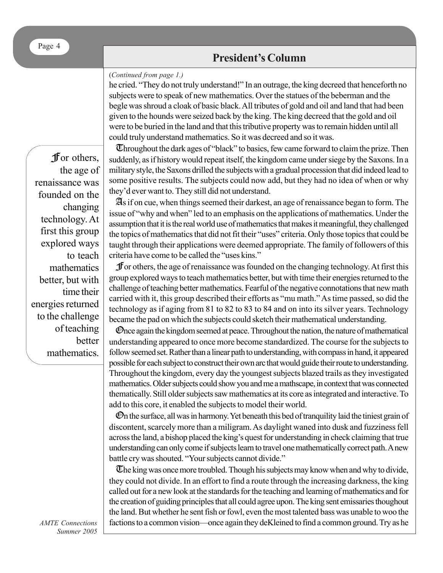# **President's Column**

### (*Continued from page 1.)*

he cried. "They do not truly understand!" In an outrage, the king decreed that henceforth no subjects were to speak of new mathematics. Over the statues of the beberman and the begle was shroud a cloak of basic black. All tributes of gold and oil and land that had been given to the hounds were seized back by the king. The king decreed that the gold and oil were to be buried in the land and that this tributive property was to remain hidden until all could truly understand mathematics. So it was decreed and so it was.

For others, the age of renaissance was founded on the changing technology. At first this group explored ways to teach mathematics better, but with time their energies returned to the challenge of teaching better mathematics.

Throughout the dark ages of "black" to basics, few came forward to claim the prize. Then suddenly, as if history would repeat itself, the kingdom came under siege by the Saxons. In a military style, the Saxons drilled the subjects with a gradual procession that did indeed lead to some positive results. The subjects could now add, but they had no idea of when or why they'd ever want to. They still did not understand.

As if on cue, when things seemed their darkest, an age of renaissance began to form. The issue of "why and when" led to an emphasis on the applications of mathematics. Under the assumption that it is the real world use of mathematics that makes it meaningful, they challenged the topics of mathematics that did not fit their "uses" criteria. Only those topics that could be taught through their applications were deemed appropriate. The family of followers of this criteria have come to be called the "uses kins."

For others, the age of renaissance was founded on the changing technology. At first this group explored ways to teach mathematics better, but with time their energies returned to the challenge of teaching better mathematics. Fearful of the negative connotations that new math carried with it, this group described their efforts as "mu math." As time passed, so did the technology as if aging from 81 to 82 to 83 to 84 and on into its silver years. Technology became the pad on which the subjects could sketch their mathematical understanding.

Once again the kingdom seemed at peace. Throughout the nation, the nature of mathematical understanding appeared to once more become standardized. The course for the subjects to follow seemed set. Rather than a linear path to understanding, with compass in hand, it appeared possible for each subject to construct their own arc that would guide their route to understanding. Throughout the kingdom, every day the youngest subjects blazed trails as they investigated mathematics. Older subjects could show you and me a mathscape, in context that was connected thematically. Still older subjects saw mathematics at its core as integrated and interactive. To add to this core, it enabled the subjects to model their world.

On the surface, all was in harmony. Yet beneath this bed of tranquility laid the tiniest grain of discontent, scarcely more than a miligram. As daylight waned into dusk and fuzziness fell across the land, a bishop placed the king's quest for understanding in check claiming that true understanding can only come if subjects learn to travel one mathematically correct path. A new battle cry was shouted. "Your subjects cannot divide."

The king was once more troubled. Though his subjects may know when and why to divide, they could not divide. In an effort to find a route through the increasing darkness, the king called out for a new look at the standards for the teaching and learning of mathematics and for the creation of guiding principles that all could agree upon. The king sent emissaries thoughout the land. But whether he sent fish or fowl, even the most talented bass was unable to woo the factions to a common vision—once again they deKleined to find a common ground. Try as he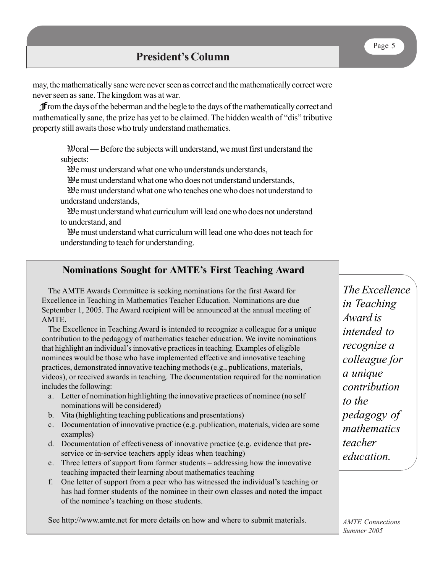|                                                                                                                                                                                                                                                                                                                                                                                                                                                                                                                                                                                                                                                                                                                                                                                                                                                                                                                                                                                                                                                                                                                                                                               | Page 5                                                                                                               |
|-------------------------------------------------------------------------------------------------------------------------------------------------------------------------------------------------------------------------------------------------------------------------------------------------------------------------------------------------------------------------------------------------------------------------------------------------------------------------------------------------------------------------------------------------------------------------------------------------------------------------------------------------------------------------------------------------------------------------------------------------------------------------------------------------------------------------------------------------------------------------------------------------------------------------------------------------------------------------------------------------------------------------------------------------------------------------------------------------------------------------------------------------------------------------------|----------------------------------------------------------------------------------------------------------------------|
| <b>President's Column</b>                                                                                                                                                                                                                                                                                                                                                                                                                                                                                                                                                                                                                                                                                                                                                                                                                                                                                                                                                                                                                                                                                                                                                     |                                                                                                                      |
| may, the mathematically sane were never seen as correct and the mathematically correct were<br>never seen as sane. The kingdom was at war.<br><b>f</b> from the days of the beberman and the begle to the days of the mathematically correct and<br>mathematically sane, the prize has yet to be claimed. The hidden wealth of "dis" tributive<br>property still awaits those who truly understand mathematics.<br>$\mathfrak{B}$ and — Before the subjects will understand, we must first understand the<br>subjects:<br>We must understand what one who understands understands,<br>We must understand what one who does not understand understands,<br>$\mathcal{D}$ e must understand what one who teaches one who does not understand to<br>understand understands,<br>We must understand what curriculum will lead one who does not understand<br>to understand, and<br>$\mathcal{D}$ e must understand what curriculum will lead one who does not teach for<br>understanding to teach for understanding.                                                                                                                                                               |                                                                                                                      |
|                                                                                                                                                                                                                                                                                                                                                                                                                                                                                                                                                                                                                                                                                                                                                                                                                                                                                                                                                                                                                                                                                                                                                                               |                                                                                                                      |
| <b>Nominations Sought for AMTE's First Teaching Award</b><br>The AMTE Awards Committee is seeking nominations for the first Award for<br>Excellence in Teaching in Mathematics Teacher Education. Nominations are due<br>September 1, 2005. The Award recipient will be announced at the annual meeting of<br>AMTE.<br>The Excellence in Teaching Award is intended to recognize a colleague for a unique<br>contribution to the pedagogy of mathematics teacher education. We invite nominations<br>that highlight an individual's innovative practices in teaching. Examples of eligible<br>nominees would be those who have implemented effective and innovative teaching<br>practices, demonstrated innovative teaching methods (e.g., publications, materials,<br>videos), or received awards in teaching. The documentation required for the nomination<br>includes the following:<br>$\mathbf{a}$ and $\mathbf{a}$ are a set of $\mathbf{a}$ and $\mathbf{a}$ are a set of $\mathbf{a}$ and $\mathbf{a}$ are a set of $\mathbf{a}$ and $\mathbf{a}$ are a set of $\mathbf{a}$ and $\mathbf{a}$ are a set of $\mathbf{a}$ and $\mathbf{a}$ are a set of $\mathbf{a}$ an | The Excellence<br>in Teaching<br>Award is<br>intended to<br>recognize a<br>colleague for<br>a unique<br>contribution |

- a. Letter of nomination highlighting the innovative practices of nominee (no self nominations will be considered)
- b. Vita (highlighting teaching publications and presentations)
- c. Documentation of innovative practice (e.g. publication, materials, video are some examples)
- d. Documentation of effectiveness of innovative practice (e.g. evidence that preservice or in-service teachers apply ideas when teaching)
- e. Three letters of support from former students addressing how the innovative teaching impacted their learning about mathematics teaching
- f. One letter of support from a peer who has witnessed the individual's teaching or has had former students of the nominee in their own classes and noted the impact of the nominee's teaching on those students.

See http://www.amte.net for more details on how and where to submit materials.

*to the pedagogy of mathematics teacher education.*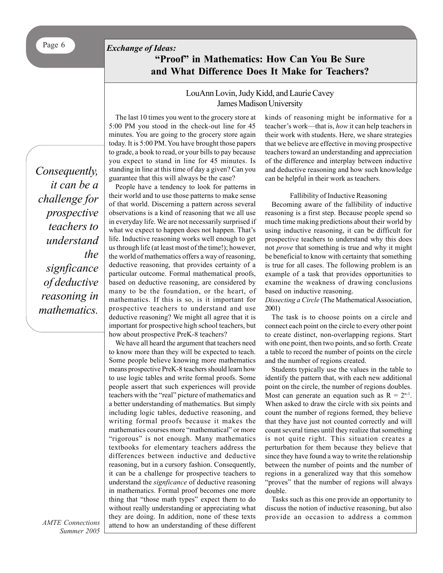# Page 6 *Exchange of Ideas:*

# **"Proof" in Mathematics: How Can You Be Sure and What Difference Does It Make for Teachers?**

## LouAnn Lovin, Judy Kidd, and Laurie Cavey James Madison University

*Consequently, it can be a challenge for prospective teachers to understand the signficance of deductive reasoning in mathematics.*

The last 10 times you went to the grocery store at 5:00 PM you stood in the check-out line for 45 minutes. You are going to the grocery store again today. It is 5:00 PM. You have brought those papers to grade, a book to read, or your bills to pay because you expect to stand in line for 45 minutes. Is standing in line at this time of day a given? Can you guarantee that this will always be the case?

People have a tendency to look for patterns in their world and to use those patterns to make sense of that world. Discerning a pattern across several observations is a kind of reasoning that we all use in everyday life. We are not necessarily surprised if what we expect to happen does not happen. That's life. Inductive reasoning works well enough to get us through life (at least most of the time!); however, the world of mathematics offers a way of reasoning, deductive reasoning, that provides certainty of a particular outcome. Formal mathematical proofs, based on deductive reasoning, are considered by many to be the foundation, or the heart, of mathematics. If this is so, is it important for prospective teachers to understand and use deductive reasoning? We might all agree that it is important for prospective high school teachers, but how about prospective PreK-8 teachers?

We have all heard the argument that teachers need to know more than they will be expected to teach. Some people believe knowing more mathematics means prospective PreK-8 teachers should learn how to use logic tables and write formal proofs. Some people assert that such experiences will provide teachers with the "real" picture of mathematics and a better understanding of mathematics. But simply including logic tables, deductive reasoning, and writing formal proofs because it makes the mathematics courses more "mathematical" or more "rigorous" is not enough. Many mathematics textbooks for elementary teachers address the differences between inductive and deductive reasoning, but in a cursory fashion. Consequently, it can be a challenge for prospective teachers to understand the *signficance* of deductive reasoning in mathematics. Formal proof becomes one more thing that "those math types" expect them to do without really understanding or appreciating what they are doing. In addition, none of these texts attend to how an understanding of these different kinds of reasoning might be informative for a teacher's work—that is, *how* it can help teachers in their work with students. Here, we share strategies that we believe are effective in moving prospective teachers toward an understanding and appreciation of the difference and interplay between inductive and deductive reasoning and how such knowledge can be helpful in their work as teachers.

#### Fallibility of Inductive Reasoning

Becoming aware of the fallibility of inductive reasoning is a first step. Because people spend so much time making predictions about their world by using inductive reasoning, it can be difficult for prospective teachers to understand why this does not *prove* that something is true and why it might be beneficial to know with certainty that something is true for all cases. The following problem is an example of a task that provides opportunities to examine the weakness of drawing conclusions based on inductive reasoning.

*Dissecting a Circle* (The Mathematical Association, 2001)

The task is to choose points on a circle and connect each point on the circle to every other point to create distinct, non-overlapping regions. Start with one point, then two points, and so forth. Create a table to record the number of points on the circle and the number of regions created.

Students typically use the values in the table to identify the pattern that, with each new additional point on the circle, the number of regions doubles. Most can generate an equation such as  $R = 2<sup>n-1</sup>$ . When asked to draw the circle with six points and count the number of regions formed, they believe that they have just not counted correctly and will count several times until they realize that something is not quite right. This situation creates a perturbation for them because they believe that since they have found a way to write the relationship between the number of points and the number of regions in a generalized way that this somehow "proves" that the number of regions will always double.

Tasks such as this one provide an opportunity to discuss the notion of inductive reasoning, but also provide an occasion to address a common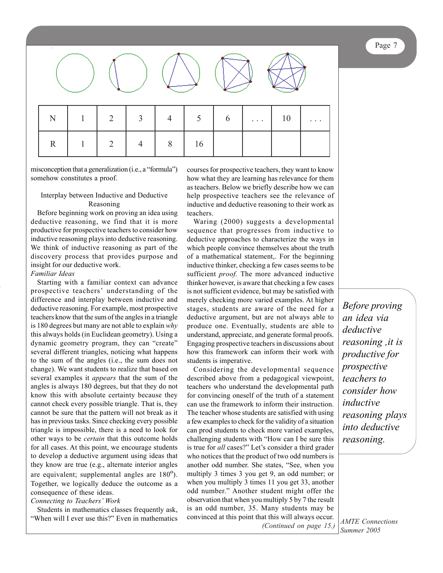Page 7



misconception that a generalization (i.e., a "formula") somehow constitutes a proof.

## Interplay between Inductive and Deductive Reasoning

Before beginning work on proving an idea using deductive reasoning, we find that it is more productive for prospective teachers to consider how inductive reasoning plays into deductive reasoning. We think of inductive reasoning as part of the discovery process that provides purpose and insight for our deductive work.

## *Familiar Ideas*

Starting with a familiar context can advance prospective teachers' understanding of the difference and interplay between inductive and deductive reasoning. For example, most prospective teachers know that the sum of the angles in a triangle is 180 degrees but many are not able to explain *why* this always holds (in Euclidean geometry). Using a dynamic geometry program, they can "create" several different triangles, noticing what happens to the sum of the angles (i.e., the sum does not change). We want students to realize that based on several examples it *appears* that the sum of the angles is always 180 degrees, but that they do not know this with absolute certainty because they cannot check every possible triangle. That is, they cannot be sure that the pattern will not break as it has in previous tasks. Since checking every possible triangle is impossible, there is a need to look for other ways to be *certain* that this outcome holds for all cases. At this point, we encourage students to develop a deductive argument using ideas that they know are true (e.g., alternate interior angles are equivalent; supplemental angles are 180º). Together, we logically deduce the outcome as a consequence of these ideas.

## *Connecting to Teachers' Work*

Students in mathematics classes frequently ask, "When will I ever use this?" Even in mathematics

courses for prospective teachers, they want to know how what they are learning has relevance for them as teachers. Below we briefly describe how we can help prospective teachers see the relevance of inductive and deductive reasoning to their work as teachers.

Waring (2000) suggests a developmental sequence that progresses from inductive to deductive approaches to characterize the ways in which people convince themselves about the truth of a mathematical statement,. For the beginning inductive thinker, checking a few cases seems to be sufficient *proof.* The more advanced inductive thinker however, is aware that checking a few cases is not sufficient evidence, but may be satisfied with merely checking more varied examples. At higher stages, students are aware of the need for a deductive argument, but are not always able to produce one. Eventually, students are able to understand, appreciate, and generate formal proofs. Engaging prospective teachers in discussions about how this framework can inform their work with students is imperative.

*(Continued on page 15.)* Considering the developmental sequence described above from a pedagogical viewpoint, teachers who understand the developmental path for convincing oneself of the truth of a statement can use the framework to inform their instruction. The teacher whose students are satisfied with using a few examples to check for the validity of a situation can prod students to check more varied examples, challenging students with "How can I be sure this is true for *all* cases?" Let's consider a third grader who notices that the product of two odd numbers is another odd number. She states, "See, when you multiply 3 times 3 you get 9, an odd number; or when you multiply 3 times 11 you get 33, another odd number." Another student might offer the observation that when you multiply 5 by 7 the result is an odd number, 35. Many students may be convinced at this point that this will always occur.

*Before proving an idea via deductive reasoning ,it is productive for prospective teachers to consider how inductive reasoning plays into deductive reasoning.*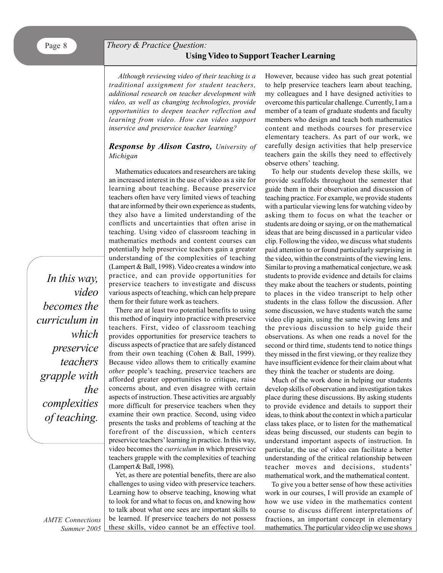# *Theory & Practice Question:*  **Using Video to Support Teacher Learning**

*Although reviewing video of their teaching is a traditional assignment for student teachers, additional research on teacher development with video, as well as changing technologies, provide opportunities to deepen teacher reflection and learning from video. How can video support inservice and preservice teacher learning?*

## *Response by Alison Castro, University of Michigan*

Mathematics educators and researchers are taking an increased interest in the use of video as a site for learning about teaching. Because preservice teachers often have very limited views of teaching that are informed by their own experience as students, they also have a limited understanding of the conflicts and uncertainties that often arise in teaching. Using video of classroom teaching in mathematics methods and content courses can potentially help preservice teachers gain a greater understanding of the complexities of teaching (Lampert & Ball, 1998). Video creates a window into practice, and can provide opportunities for preservice teachers to investigate and discuss various aspects of teaching, which can help prepare them for their future work as teachers.

There are at least two potential benefits to using this method of inquiry into practice with preservice teachers. First, video of classroom teaching provides opportunities for preservice teachers to discuss aspects of practice that are safely distanced from their own teaching (Cohen & Ball, 1999). Because video allows them to critically examine *other* people's teaching, preservice teachers are afforded greater opportunities to critique, raise concerns about, and even disagree with certain aspects of instruction. These activities are arguably more difficult for preservice teachers when they examine their own practice. Second, using video presents the tasks and problems of teaching at the forefront of the discussion, which centers preservice teachers' learning in practice. In this way, video becomes the *curriculum* in which preservice teachers grapple with the complexities of teaching (Lampert & Ball, 1998).

Yet, as there are potential benefits, there are also challenges to using video with preservice teachers. Learning how to observe teaching, knowing what to look for and what to focus on, and knowing how to talk about what one sees are important skills to be learned. If preservice teachers do not possess these skills, video cannot be an effective tool.

However, because video has such great potential to help preservice teachers learn about teaching, my colleagues and I have designed activities to overcome this particular challenge. Currently, I am a member of a team of graduate students and faculty members who design and teach both mathematics content and methods courses for preservice elementary teachers. As part of our work, we carefully design activities that help preservice teachers gain the skills they need to effectively observe others' teaching.

To help our students develop these skills, we provide scaffolds throughout the semester that guide them in their observation and discussion of teaching practice. For example, we provide students with a particular viewing lens for watching video by asking them to focus on what the teacher or students are doing or saying, or on the mathematical ideas that are being discussed in a particular video clip. Following the video, we discuss what students paid attention to or found particularly surprising in the video, within the constraints of the viewing lens. Similar to proving a mathematical conjecture, we ask students to provide evidence and details for claims they make about the teachers or students, pointing to places in the video transcript to help other students in the class follow the discussion. After some discussion, we have students watch the same video clip again, using the same viewing lens and the previous discussion to help guide their observations. As when one reads a novel for the second or third time, students tend to notice things they missed in the first viewing, or they realize they have insufficient evidence for their claim about what they think the teacher or students are doing.

Much of the work done in helping our students develop skills of observation and investigation takes place during these discussions. By asking students to provide evidence and details to support their ideas, to think about the context in which a particular class takes place, or to listen for the mathematical ideas being discussed, our students can begin to understand important aspects of instruction. In particular, the use of video can facilitate a better understanding of the critical relationship between teacher moves and decisions, students' mathematical work, and the mathematical content.

To give you a better sense of how these activities work in our courses, I will provide an example of how we use video in the mathematics content course to discuss different interpretations of fractions, an important concept in elementary mathematics. The particular video clip we use shows

*In this way, video becomes the curriculum in which preservice teachers grapple with the complexities of teaching.*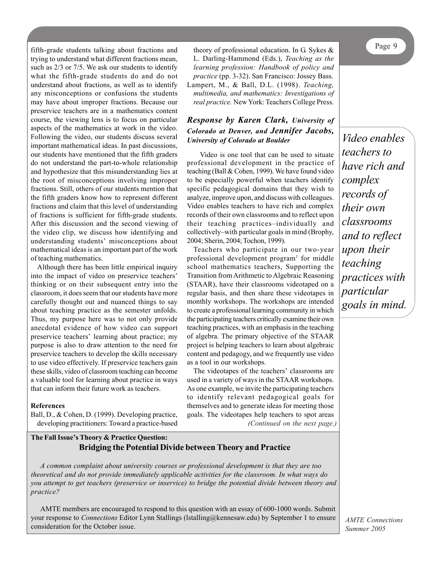fifth-grade students talking about fractions and trying to understand what different fractions mean, such as 2/3 or 7/5. We ask our students to identify what the fifth-grade students do and do not understand about fractions, as well as to identify any misconceptions or confusions the students may have about improper fractions. Because our preservice teachers are in a mathematics content course, the viewing lens is to focus on particular aspects of the mathematics at work in the video. Following the video, our students discuss several important mathematical ideas. In past discussions, our students have mentioned that the fifth graders do not understand the part-to-whole relationship and hypothesize that this misunderstanding lies at the root of misconceptions involving improper fractions. Still, others of our students mention that the fifth graders know how to represent different fractions and claim that this level of understanding of fractions is sufficient for fifth-grade students. After this discussion and the second viewing of the video clip, we discuss how identifying and understanding students' misconceptions about mathematical ideas is an important part of the work of teaching mathematics.

Although there has been little empirical inquiry into the impact of video on preservice teachers' thinking or on their subsequent entry into the classroom, it does seem that our students have more carefully thought out and nuanced things to say about teaching practice as the semester unfolds. Thus, my purpose here was to not only provide anecdotal evidence of how video can support preservice teachers' learning about practice; my purpose is also to draw attention to the need for preservice teachers to develop the skills necessary to use video effectively. If preservice teachers gain these skills, video of classroom teaching can become a valuable tool for learning about practice in ways that can inform their future work as teachers.

### **References**

Ball, D., & Cohen, D. (1999). Developing practice, developing practitioners: Toward a practice-based

theory of professional education. In G. Sykes & L. Darling-Hammond (Eds.), *Teaching as the learning profession: Handbook of policy and practice* (pp. 3-32). San Francisco: Jossey Bass. Lampert, M., & Ball, D.L. (1998). *Teaching, multimedia, and mathematics: Investigations of real practice.* New York: Teachers College Press.

## *Response by Karen Clark, University of Colorado at Denver, and Jennifer Jacobs, University of Colorado at Boulder*

Video is one tool that can be used to situate professional development in the practice of teaching (Ball & Cohen, 1999). We have found video to be especially powerful when teachers identify specific pedagogical domains that they wish to analyze, improve upon, and discuss with colleagues. Video enables teachers to have rich and complex records of their own classrooms and to reflect upon their teaching practices–individually and collectively–with particular goals in mind (Brophy, 2004; Sherin, 2004; Tochon, 1999).

Teachers who participate in our two-year professional development program<sup>1</sup> for middle school mathematics teachers, Supporting the Transition from Arithmetic to Algebraic Reasoning (STAAR), have their classrooms videotaped on a regular basis, and then share these videotapes in monthly workshops. The workshops are intended to create a professional learning community in which the participating teachers critically examine their own teaching practices, with an emphasis in the teaching of algebra. The primary objective of the STAAR project is helping teachers to learn about algebraic content and pedagogy, and we frequently use video as a tool in our workshops.

*(Continued on the next page.)* The videotapes of the teachers' classrooms are used in a variety of ways in the STAAR workshops. As one example, we invite the participating teachers to identify relevant pedagogical goals for themselves and to generate ideas for meeting those goals. The videotapes help teachers to spot areas

**The Fall Issue's Theory & Practice Question: Bridging the Potential Divide between Theory and Practice**

*A common complaint about university courses or professional development is that they are too theoretical and do not provide immediately applicable activities for the classroom. In what ways do you attempt to get teachers (preservice or inservice) to bridge the potential divide between theory and practice?*

AMTE members are encouraged to respond to this question with an essay of 600-1000 words. Submit your response to *Connections* Editor Lynn Stallings (lstalling@kennesaw.edu) by September 1 to ensure consideration for the October issue.

*Video enables teachers to have rich and complex records of their own classrooms and to reflect upon their teaching practices with particular goals in mind.*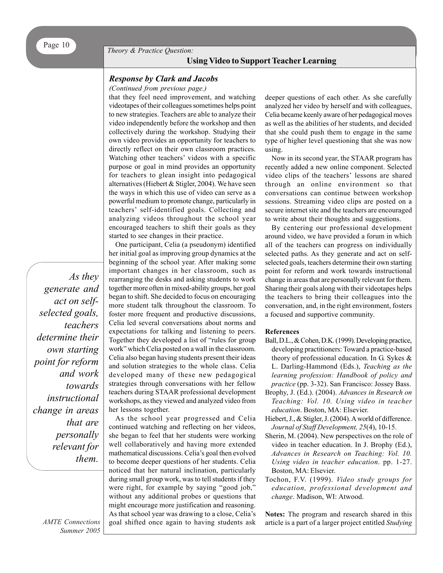## **Using Video to Support Teacher Learning**

### *Response by Clark and Jacobs*

*(Continued from previous page.)*

that they feel need improvement, and watching videotapes of their colleagues sometimes helps point to new strategies. Teachers are able to analyze their video independently before the workshop and then collectively during the workshop. Studying their own video provides an opportunity for teachers to directly reflect on their own classroom practices. Watching other teachers' videos with a specific purpose or goal in mind provides an opportunity for teachers to glean insight into pedagogical alternatives (Hiebert & Stigler, 2004). We have seen the ways in which this use of video can serve as a powerful medium to promote change, particularly in teachers' self-identified goals. Collecting and analyzing videos throughout the school year encouraged teachers to shift their goals as they started to see changes in their practice.

One participant, Celia (a pseudonym) identified

her initial goal as improving group dynamics at the beginning of the school year. After making some important changes in her classroom, such as rearranging the desks and asking students to work together more often in mixed-ability groups, her goal began to shift. She decided to focus on encouraging more student talk throughout the classroom. To foster more frequent and productive discussions, Celia led several conversations about norms and expectations for talking and listening to peers. Together they developed a list of "rules for group work" which Celia posted on a wall in the classroom. Celia also began having students present their ideas and solution strategies to the whole class. Celia developed many of these new pedagogical strategies through conversations with her fellow teachers during STAAR professional development workshops, as they viewed and analyzed video from her lessons together.

As the school year progressed and Celia continued watching and reflecting on her videos, she began to feel that her students were working well collaboratively and having more extended mathematical discussions. Celia's goal then evolved to become deeper questions of her students. Celia noticed that her natural inclination, particularly during small group work, was to tell students if they were right, for example by saying "good job," without any additional probes or questions that might encourage more justification and reasoning. As that school year was drawing to a close, Celia's goal shifted once again to having students ask deeper questions of each other. As she carefully analyzed her video by herself and with colleagues, Celia became keenly aware of her pedagogical moves as well as the abilities of her students, and decided that she could push them to engage in the same type of higher level questioning that she was now using.

Now in its second year, the STAAR program has recently added a new online component. Selected video clips of the teachers' lessons are shared through an online environment so that conversations can continue between workshop sessions. Streaming video clips are posted on a secure internet site and the teachers are encouraged to write about their thoughts and suggestions.

By centering our professional development around video, we have provided a forum in which all of the teachers can progress on individually selected paths. As they generate and act on selfselected goals, teachers determine their own starting point for reform and work towards instructional change in areas that are personally relevant for them. Sharing their goals along with their videotapes helps the teachers to bring their colleagues into the conversation, and, in the right environment, fosters a focused and supportive community.

#### **References**

- Ball, D.L., & Cohen, D.K. (1999). Developing practice, developing practitioners: Toward a practice-based theory of professional education. In G. Sykes & L. Darling-Hammond (Eds.), *Teaching as the learning profession: Handbook of policy and practice* (pp. 3-32). San Francisco: Jossey Bass.
- Brophy, J. (Ed.). (2004). *Advances in Research on Teaching: Vol. 10. Using video in teacher education*. Boston, MA: Elsevier.
- Hiebert, J., & Stigler, J. (2004). A world of difference. *Journal of Staff Development, 25*(4), 10-15.
- Sherin, M. (2004). New perspectives on the role of video in teacher education. In J. Brophy (Ed.), *Advances in Research on Teaching: Vol. 10. Using video in teacher education*. pp. 1-27. Boston, MA: Elsevier.
- Tochon, F.V. (1999). *Video study groups for education, professional development and change*. Madison, WI: Atwood.

**Notes:** The program and research shared in this article is a part of a larger project entitled *Studying*

*As they generate and act on selfselected goals, teachers determine their own starting point for reform and work towards instructional change in areas that are personally relevant for them.*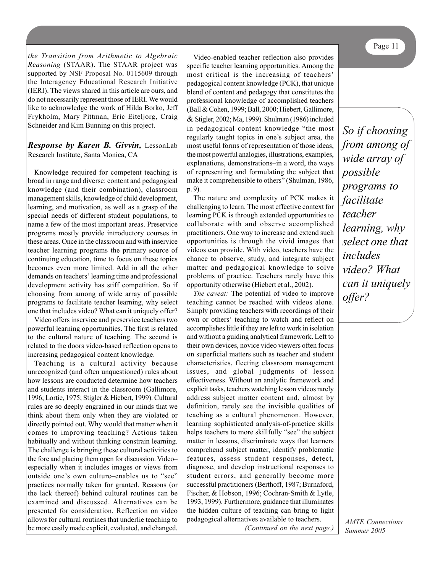*the Transition from Arithmetic to Algebraic Reasoning* (STAAR). The STAAR project was supported by NSF Proposal No. 0115609 through the Interagency Educational Research Initiative (IERI). The views shared in this article are ours, and do not necessarily represent those of IERI. We would like to acknowledge the work of Hilda Borko, Jeff Frykholm, Mary Pittman, Eric Eiteljorg, Craig Schneider and Kim Bunning on this project.

*Response by Karen B. Givvin,* LessonLab Research Institute, Santa Monica, CA

Knowledge required for competent teaching is broad in range and diverse: content and pedagogical knowledge (and their combination), classroom management skills, knowledge of child development, learning, and motivation, as well as a grasp of the special needs of different student populations, to name a few of the most important areas. Preservice programs mostly provide introductory courses in these areas. Once in the classroom and with inservice teacher learning programs the primary source of continuing education, time to focus on these topics becomes even more limited. Add in all the other demands on teachers' learning time and professional development activity has stiff competition. So if choosing from among of wide array of possible programs to facilitate teacher learning, why select one that includes video? What can it uniquely offer?

Video offers inservice and preservice teachers two powerful learning opportunities. The first is related to the cultural nature of teaching. The second is related to the doors video-based reflection opens to increasing pedagogical content knowledge.

Teaching is a cultural activity because unrecognized (and often unquestioned) rules about how lessons are conducted determine how teachers and students interact in the classroom (Gallimore, 1996; Lortie, 1975; Stigler & Hiebert, 1999). Cultural rules are so deeply engrained in our minds that we think about them only when they are violated or directly pointed out. Why would that matter when it comes to improving teaching? Actions taken habitually and without thinking constrain learning. The challenge is bringing these cultural activities to the fore and placing them open for discussion. Video– especially when it includes images or views from outside one's own culture–enables us to "see" practices normally taken for granted. Reasons (or the lack thereof) behind cultural routines can be examined and discussed. Alternatives can be presented for consideration. Reflection on video allows for cultural routines that underlie teaching to be more easily made explicit, evaluated, and changed.

Video-enabled teacher reflection also provides specific teacher learning opportunities. Among the most critical is the increasing of teachers' pedagogical content knowledge (PCK), that unique blend of content and pedagogy that constitutes the professional knowledge of accomplished teachers (Ball & Cohen, 1999; Ball, 2000; Hiebert, Gallimore, & Stigler, 2002; Ma, 1999). Shulman (1986) included in pedagogical content knowledge "the most regularly taught topics in one's subject area, the most useful forms of representation of those ideas, the most powerful analogies, illustrations, examples, explanations, demonstrations–in a word, the ways of representing and formulating the subject that make it comprehensible to others" (Shulman, 1986, p. 9).

The nature and complexity of PCK makes it challenging to learn. The most effective context for learning PCK is through extended opportunities to collaborate with and observe accomplished practitioners. One way to increase and extend such opportunities is through the vivid images that videos can provide. With video, teachers have the chance to observe, study, and integrate subject matter and pedagogical knowledge to solve problems of practice. Teachers rarely have this opportunity otherwise (Hiebert et al., 2002).

*The caveat:* The potential of video to improve teaching cannot be reached with videos alone. Simply providing teachers with recordings of their own or others' teaching to watch and reflect on accomplishes little if they are left to work in isolation and without a guiding analytical framework. Left to their own devices, novice video viewers often focus on superficial matters such as teacher and student characteristics, fleeting classroom management issues, and global judgments of lesson effectiveness. Without an analytic framework and explicit tasks, teachers watching lesson videos rarely address subject matter content and, almost by definition, rarely see the invisible qualities of teaching as a cultural phenomenon. However, learning sophisticated analysis-of-practice skills helps teachers to more skillfully "see" the subject matter in lessons, discriminate ways that learners comprehend subject matter, identify problematic features, assess student responses, detect, diagnose, and develop instructional responses to student errors, and generally become more successful practitioners (Berthoff, 1987; Burnaford, Fischer, & Hobson, 1996; Cochran-Smith & Lytle, 1993, 1999). Furthermore, guidance that illuminates the hidden culture of teaching can bring to light pedagogical alternatives available to teachers.

*(Continued on the next page.)*

*So if choosing from among of wide array of possible programs to facilitate teacher learning, why select one that includes video? What can it uniquely offer?*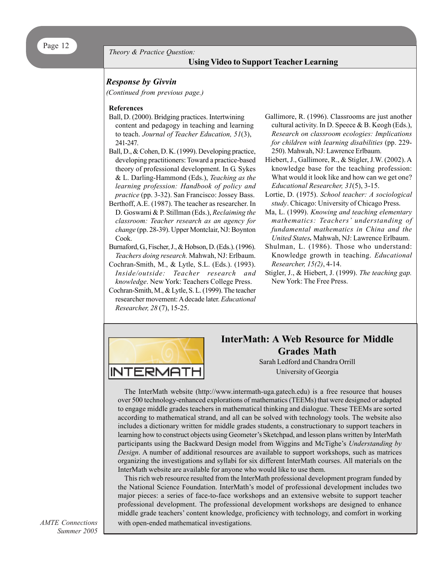# **Using Video to Support Teacher Learning Using Video to Support Teacher Learning**

## *Response by Givvin*

*(Continued from previous page.)*

#### **References**

- Ball, D. (2000). Bridging practices. Intertwining content and pedagogy in teaching and learning to teach. *Journal of Teacher Education, 51*(3), 241-247.
- Ball, D., & Cohen, D. K. (1999). Developing practice, developing practitioners: Toward a practice-based theory of professional development. In G. Sykes & L. Darling-Hammond (Eds.), *Teaching as the learning profession: Handbook of policy and practice* (pp. 3-32). San Francisco: Jossey Bass.
- Berthoff, A.E. (1987). The teacher as researcher. In D. Goswami & P. Stillman (Eds.), *Reclaiming the classroom: Teacher research as an agency for change* (pp. 28-39). Upper Montclair, NJ: Boynton Cook.
- Burnaford, G., Fischer, J., & Hobson, D. (Eds.). (1996). *Teachers doing research.* Mahwah, NJ: Erlbaum.
- Cochran-Smith, M., & Lytle, S.L. (Eds.). (1993). *Inside/outside: Teacher research and knowledge*. New York: Teachers College Press.
- Cochran-Smith, M., & Lytle, S. L. (1999). The teacher researcher movement: A decade later. *Educational Researcher, 28* (7), 15-25.
- Gallimore, R. (1996). Classrooms are just another cultural activity. In D. Speece  $\&$  B. Keogh (Eds.), *Research on classroom ecologies: Implications for children with learning disabilities* (pp. 229- 250). Mahwah, NJ: Lawrence Erlbaum.
- Hiebert, J., Gallimore, R., & Stigler, J.W. (2002). A knowledge base for the teaching profession: What would it look like and how can we get one? *Educational Researcher, 31*(5), 3-15.
- Lortie, D. (1975). *School teacher: A sociological study*. Chicago: University of Chicago Press.
- Ma, L. (1999). *Knowing and teaching elementary mathematics: Teachers' understanding of fundamental mathematics in China and the United States.* Mahwah, NJ: Lawrence Erlbaum.
- Shulman, L. (1986). Those who understand: Knowledge growth in teaching. *Educational Researcher, 15(2)*, 4-14.
- Stigler, J., & Hiebert, J. (1999). *The teaching gap.* New York: The Free Press.



# **InterMath: A Web Resource for Middle Grades Math**

Sarah Ledford and Chandra Orrill University of Georgia

The InterMath website (http://www.intermath-uga.gatech.edu) is a free resource that houses over 500 technology-enhanced explorations of mathematics (TEEMs) that were designed or adapted to engage middle grades teachers in mathematical thinking and dialogue. These TEEMs are sorted according to mathematical strand, and all can be solved with technology tools. The website also includes a dictionary written for middle grades students, a constructionary to support teachers in learning how to construct objects using Geometer's Sketchpad, and lesson plans written by InterMath participants using the Backward Design model from Wiggins and McTighe's *Understanding by Design*. A number of additional resources are available to support workshops, such as matrices organizing the investigations and syllabi for six different InterMath courses. All materials on the InterMath website are available for anyone who would like to use them.

This rich web resource resulted from the InterMath professional development program funded by the National Science Foundation. InterMath's model of professional development includes two major pieces: a series of face-to-face workshops and an extensive website to support teacher professional development. The professional development workshops are designed to enhance middle grade teachers' content knowledge, proficiency with technology, and comfort in working with open-ended mathematical investigations.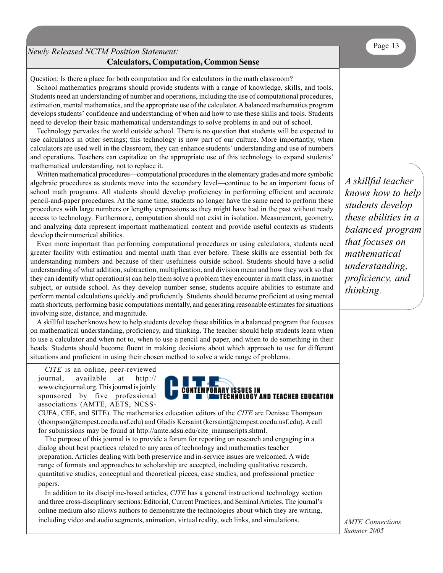# Page 13 *Newly Released NCTM Position Statement:*  **Calculators, Computation, Common Sense**

Question: Is there a place for both computation and for calculators in the math classroom?

School mathematics programs should provide students with a range of knowledge, skills, and tools. Students need an understanding of number and operations, including the use of computational procedures, estimation, mental mathematics, and the appropriate use of the calculator. A balanced mathematics program develops students' confidence and understanding of when and how to use these skills and tools. Students need to develop their basic mathematical understandings to solve problems in and out of school.

Technology pervades the world outside school. There is no question that students will be expected to use calculators in other settings; this technology is now part of our culture. More importantly, when calculators are used well in the classroom, they can enhance students' understanding and use of numbers and operations. Teachers can capitalize on the appropriate use of this technology to expand students' mathematical understanding, not to replace it.

Written mathematical procedures—computational procedures in the elementary grades and more symbolic algebraic procedures as students move into the secondary level—continue to be an important focus of school math programs. All students should develop proficiency in performing efficient and accurate pencil-and-paper procedures. At the same time, students no longer have the same need to perform these procedures with large numbers or lengthy expressions as they might have had in the past without ready access to technology. Furthermore, computation should not exist in isolation. Measurement, geometry, and analyzing data represent important mathematical content and provide useful contexts as students develop their numerical abilities.

Even more important than performing computational procedures or using calculators, students need greater facility with estimation and mental math than ever before. These skills are essential both for understanding numbers and because of their usefulness outside school. Students should have a solid understanding of what addition, subtraction, multiplication, and division mean and how they work so that they can identify what operation(s) can help them solve a problem they encounter in math class, in another subject, or outside school. As they develop number sense, students acquire abilities to estimate and perform mental calculations quickly and proficiently. Students should become proficient at using mental math shortcuts, performing basic computations mentally, and generating reasonable estimates for situations involving size, distance, and magnitude.

A skillful teacher knows how to help students develop these abilities in a balanced program that focuses on mathematical understanding, proficiency, and thinking. The teacher should help students learn when to use a calculator and when not to, when to use a pencil and paper, and when to do something in their heads. Students should become fluent in making decisions about which approach to use for different situations and proficient in using their chosen method to solve a wide range of problems.

*CITE* is an online, peer-reviewed journal, available at http:// www.citejournal.org. This journal is joinly sponsored by five professional associations (AMTE, AETS, NCSS-



CUFA, CEE, and SITE). The mathematics education editors of the *CITE* are Denisse Thompson (thompson@tempest.coedu.usf.edu) and Gladis Kersaint (kersaint@tempest.coedu.usf.edu). A call for submissions may be found at http://amte.sdsu.edu/cite\_manuscripts.shtml.

The purpose of this journal is to provide a forum for reporting on research and engaging in a dialog about best practices related to any area of technology and mathematics teacher preparation. Articles dealing with both preservice and in-service issues are welcomed. A wide range of formats and approaches to scholarship are accepted, including qualitative research, quantitative studies, conceptual and theoretical pieces, case studies, and professional practice papers.

In addition to its discipline-based articles, *CITE* has a general instructional technology section and three cross-disciplinary sections: Editorial, Current Practices, and Seminal Articles. The journal's online medium also allows authors to demonstrate the technologies about which they are writing, including video and audio segments, animation, virtual reality, web links, and simulations.

*A skillful teacher knows how to help students develop these abilities in a balanced program that focuses on mathematical understanding, proficiency, and thinking.*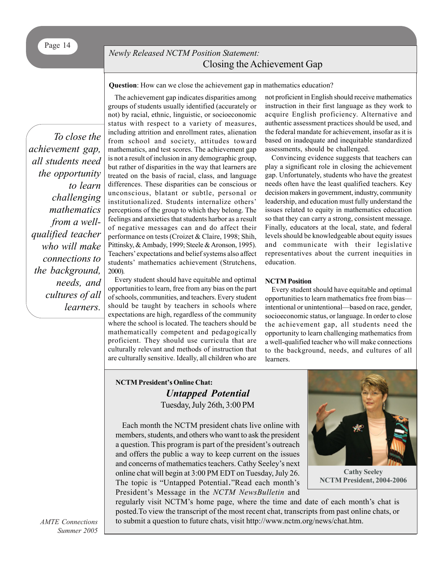# *Newly Released NCTM Position Statement:* Closing the Achievement Gap

**Question**: How can we close the achievement gap in mathematics education?

*To close the achievement gap, all students need the opportunity to learn challenging mathematics from a wellqualified teacher who will make connections to the background, needs, and cultures of all learners.*

The achievement gap indicates disparities among groups of students usually identified (accurately or not) by racial, ethnic, linguistic, or socioeconomic status with respect to a variety of measures, including attrition and enrollment rates, alienation from school and society, attitudes toward mathematics, and test scores. The achievement gap is not a result of inclusion in any demographic group, but rather of disparities in the way that learners are treated on the basis of racial, class, and language differences. These disparities can be conscious or unconscious, blatant or subtle, personal or institutionalized. Students internalize others' perceptions of the group to which they belong. The feelings and anxieties that students harbor as a result of negative messages can and do affect their performance on tests (Croizet & Claire, 1998; Shih, Pittinsky, & Ambady, 1999; Steele & Aronson, 1995). Teachers' expectations and belief systems also affect students' mathematics achievement (Strutchens, 2000).

Every student should have equitable and optimal opportunities to learn, free from any bias on the part of schools, communities, and teachers. Every student should be taught by teachers in schools where expectations are high, regardless of the community where the school is located. The teachers should be mathematically competent and pedagogically proficient. They should use curricula that are culturally relevant and methods of instruction that are culturally sensitive. Ideally, all children who are

not proficient in English should receive mathematics instruction in their first language as they work to acquire English proficiency. Alternative and authentic assessment practices should be used, and the federal mandate for achievement, insofar as it is based on inadequate and inequitable standardized assessments, should be challenged.

Convincing evidence suggests that teachers can play a significant role in closing the achievement gap. Unfortunately, students who have the greatest needs often have the least qualified teachers. Key decision makers in government, industry, community leadership, and education must fully understand the issues related to equity in mathematics education so that they can carry a strong, consistent message. Finally, educators at the local, state, and federal levels should be knowledgeable about equity issues and communicate with their legislative representatives about the current inequities in education.

### **NCTM Position**

Every student should have equitable and optimal opportunities to learn mathematics free from bias intentional or unintentional—based on race, gender, socioeconomic status, or language. In order to close the achievement gap, all students need the opportunity to learn challenging mathematics from a well-qualified teacher who will make connections to the background, needs, and cultures of all learners.

# **NCTM President's Online Chat:** *Untapped Potential* Tuesday, July 26th, 3:00 PM

Each month the NCTM president chats live online with members, students, and others who want to ask the president a question. This program is part of the president's outreach and offers the public a way to keep current on the issues and concerns of mathematics teachers. Cathy Seeley's next online chat will begin at 3:00 PM EDT on Tuesday, July 26. The topic is "Untapped Potential."Read each month's President's Message in the *NCTM NewsBulletin* and



**Cathy Seeley NCTM President, 2004-2006**

regularly visit NCTM's home page, where the time and date of each month's chat is posted.To view the transcript of the most recent chat, transcripts from past online chats, or to submit a question to future chats, visit http://www.nctm.org/news/chat.htm.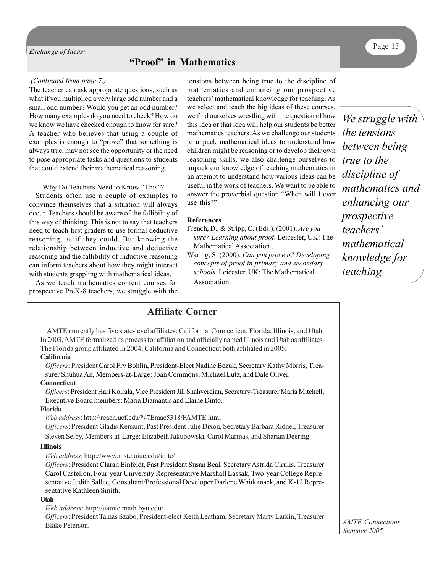**Exchange of Ideas:** Page 15

# **"Proof" in Mathematics**

#### *(Continued from page 7.)*

The teacher can ask appropriate questions, such as what if you multiplied a very large odd number and a small odd number? Would you get an odd number? How many examples do you need to check? How do we know we have checked enough to know for sure? A teacher who believes that using a couple of examples is enough to "prove" that something is always true, may not see the opportunity or the need to pose appropriate tasks and questions to students that could extend their mathematical reasoning.

Why Do Teachers Need to Know "This"?

Students often use a couple of examples to convince themselves that a situation will always occur. Teachers should be aware of the fallibility of this way of thinking. This is not to say that teachers need to teach first graders to use formal deductive reasoning, as if they could. But knowing the relationship between inductive and deductive reasoning and the fallibility of inductive reasoning can inform teachers about how they might interact with students grappling with mathematical ideas.

As we teach mathematics content courses for prospective PreK-8 teachers, we struggle with the tensions between being true to the discipline of mathematics and enhancing our prospective teachers' mathematical knowledge for teaching. As we select and teach the big ideas of these courses, we find ourselves wrestling with the question of how this idea or that idea will help our students be better mathematics teachers. As we challenge our students to unpack mathematical ideas to understand how children might be reasoning or to develop their own reasoning skills, we also challenge ourselves to unpack our knowledge of teaching mathematics in an attempt to understand how various ideas can be useful in the work of teachers. We want to be able to answer the proverbial question "When will I ever use this?"

#### **References**

- French, D., & Stripp, C. (Eds.). (2001). *Are you sure? Learning about proof*. Leicester, UK: The Mathematical Association . Waring, S. (2000). *Can you prove it? Developing*
- *concepts of proof in primary and secondary schools.* Leicester, UK: The Mathematical Association.

*We struggle with the tensions between being true to the discipline of mathematics and enhancing our prospective teachers' mathematical knowledge for teaching*

# **Affiliate Corner**

AMTE currently has five state-level affiliates: California, Connecticut, Florida, Illinois, and Utah. In 2003, AMTE formalized its process for affiliation and officially named Illinois and Utah as affiliates. The Florida group affiliated in 2004; California and Connecticut both affiliated in 2005.

### **California**

*Officers*: President Carol Fry Bohlin, President-Elect Nadine Bezuk, Secretary Kathy Morris, Treasurer Shuhua An, Members-at-Large: Joan Commons, Michael Lutz, and Dale Oliver.

### **Connecticut**

*Officers*: President Hari Koirala, Vice President Jill Shahverdian, Secretary-Treasurer Maria Mitchell, Executive Board members: Maria Diamantis and Elaine Dinto.

#### **Florida**

*Web address*: http://reach.ucf.edu/%7Emae5318/FAMTE.html

*Officers*: President Gladis Kersaint, Past President Julie Dixon, Secretary Barbara Ridner, Treasurer Steven Selby, Members-at-Large: Elizabeth Jakubowski, Carol Marinas, and Sharian Deering.

#### **Illinois**

*Web address*: http://www.mste.uiuc.edu/imte/

*Officers*: President Claran Einfeldt, Past President Susan Beal, Secretary Astrida Cirulis, Treasurer Carol Castellon, Four-year University Representative Marshall Lassak, Two-year College Representative Judith Sallee, Consultant/Professional Developer Darlene Whitkanack, and K-12 Representative Kathleen Smith.

#### **Utah**

*Web address*: http://uamte.math.byu.edu/

*Officers*: President Tamas Szabo, President-elect Keith Leatham, Secretary Marty Larkin, Treasurer Blake Peterson.